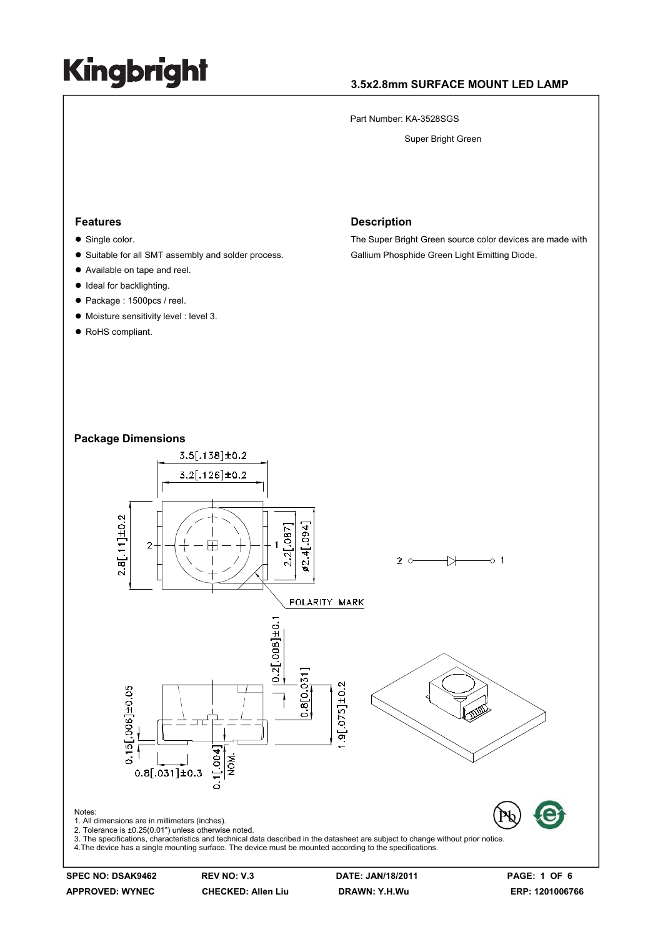### **3.5x2.8mm SURFACE MOUNT LED LAMP**

Part Number: KA-3528SGS

Super Bright Green

#### **Features**

- $\bullet$  Single color.
- Suitable for all SMT assembly and solder process.
- Available on tape and reel.
- Ideal for backlighting.
- Package : 1500pcs / reel.
- $\bullet$  Moisture sensitivity level : level 3.
- RoHS compliant.

#### **Description**

The Super Bright Green source color devices are made with Gallium Phosphide Green Light Emitting Diode.

#### **Package Dimensions**



**SPEC NO: DSAK9462 REV NO: V.3 DATE: JAN/18/2011 PAGE: 1 OF 6**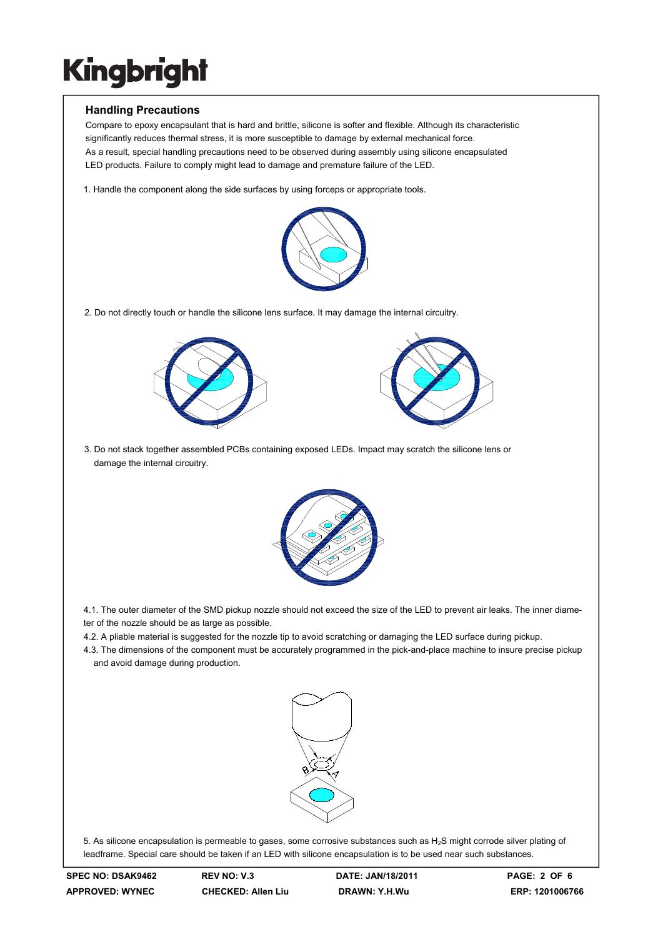### **Handling Precautions**

Compare to epoxy encapsulant that is hard and brittle, silicone is softer and flexible. Although its characteristic significantly reduces thermal stress, it is more susceptible to damage by external mechanical force. As a result, special handling precautions need to be observed during assembly using silicone encapsulated LED products. Failure to comply might lead to damage and premature failure of the LED.

1. Handle the component along the side surfaces by using forceps or appropriate tools.



2. Do not directly touch or handle the silicone lens surface. It may damage the internal circuitry.





3. Do not stack together assembled PCBs containing exposed LEDs. Impact may scratch the silicone lens or damage the internal circuitry.



4.1. The outer diameter of the SMD pickup nozzle should not exceed the size of the LED to prevent air leaks. The inner diameter of the nozzle should be as large as possible.

- 4.2. A pliable material is suggested for the nozzle tip to avoid scratching or damaging the LED surface during pickup.
- 4.3. The dimensions of the component must be accurately programmed in the pick-and-place machine to insure precise pickup and avoid damage during production.



5. As silicone encapsulation is permeable to gases, some corrosive substances such as H2S might corrode silver plating of leadframe. Special care should be taken if an LED with silicone encapsulation is to be used near such substances.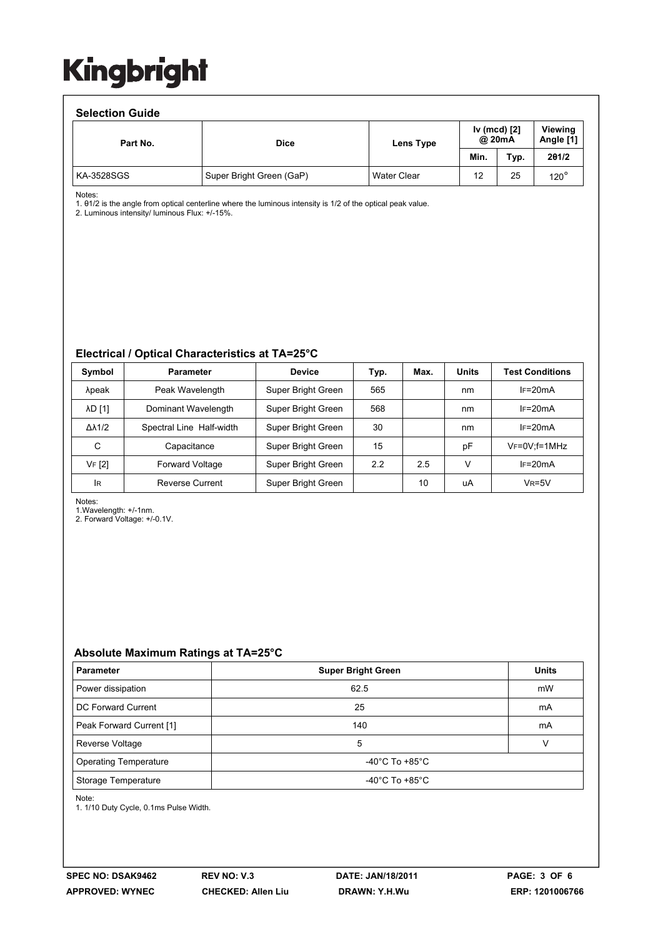### **Selection Guide**

| Part No.   | <b>Dice</b>              | Lens Type          | Iv (mcd) [2]<br>@ 20mA |      | Viewing<br>Angle [1] |  |  |  |  |
|------------|--------------------------|--------------------|------------------------|------|----------------------|--|--|--|--|
|            |                          |                    | Min.                   | Typ. | 201/2                |  |  |  |  |
| KA-3528SGS | Super Bright Green (GaP) | <b>Water Clear</b> | 12                     | 25   | $120^\circ$          |  |  |  |  |

Notes:

1. θ1/2 is the angle from optical centerline where the luminous intensity is 1/2 of the optical peak value.

2. Luminous intensity/ luminous Flux: +/-15%.

#### **Electrical / Optical Characteristics at TA=25°C**

| Symbol              | <b>Parameter</b>         | <b>Device</b>      | Typ. | Max. | <b>Units</b> | <b>Test Conditions</b> |
|---------------------|--------------------------|--------------------|------|------|--------------|------------------------|
| λpeak               | Peak Wavelength          | Super Bright Green | 565  |      | nm           | $IF=20mA$              |
| <b>AD [1]</b>       | Dominant Wavelength      | Super Bright Green | 568  |      | nm           | $IF=20mA$              |
| $\Delta\lambda$ 1/2 | Spectral Line Half-width | Super Bright Green | 30   |      | nm           | $IF=20mA$              |
| C                   | Capacitance              | Super Bright Green | 15   |      | рF           | $V_F = 0V$ ; f=1MHz    |
| VF [2]              | Forward Voltage          | Super Bright Green | 2.2  | 2.5  | v            | $IF=20mA$              |
| <b>IR</b>           | Reverse Current          | Super Bright Green |      | 10   | uA           | $V_R = 5V$             |

Notes:

1.Wavelength: +/-1nm.

2. Forward Voltage: +/-0.1V.

### **Absolute Maximum Ratings at TA=25°C**

| <b>Parameter</b>             | <b>Super Bright Green</b>            | <b>Units</b> |  |
|------------------------------|--------------------------------------|--------------|--|
| Power dissipation            | 62.5                                 | mW           |  |
| DC Forward Current           | 25                                   | mA           |  |
| Peak Forward Current [1]     | 140                                  | mA           |  |
| Reverse Voltage              | 5                                    |              |  |
| <b>Operating Temperature</b> | -40 $^{\circ}$ C To +85 $^{\circ}$ C |              |  |
| Storage Temperature          | -40°C To +85°C                       |              |  |

Note:

1. 1/10 Duty Cycle, 0.1ms Pulse Width.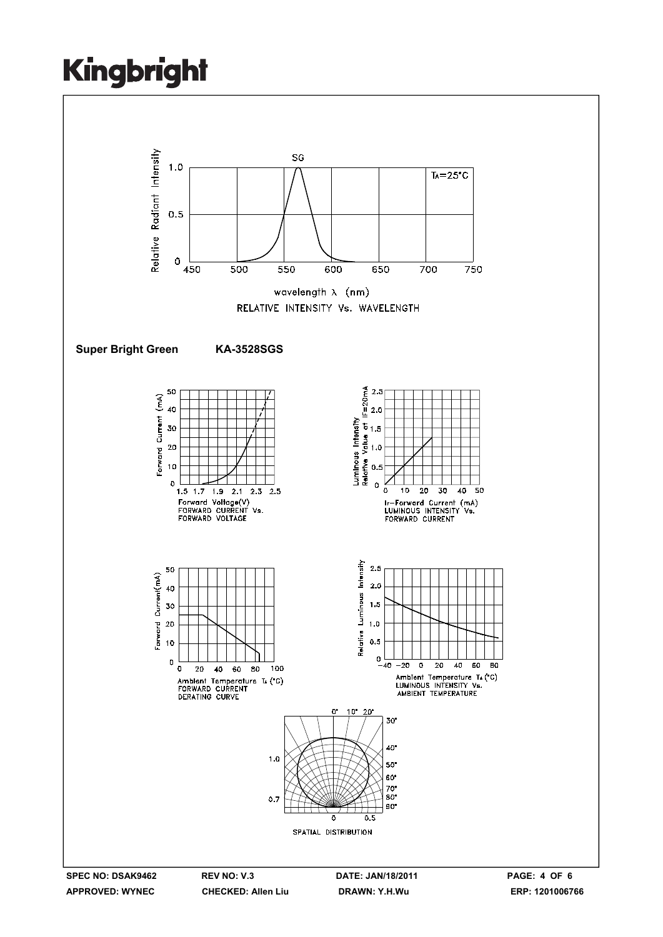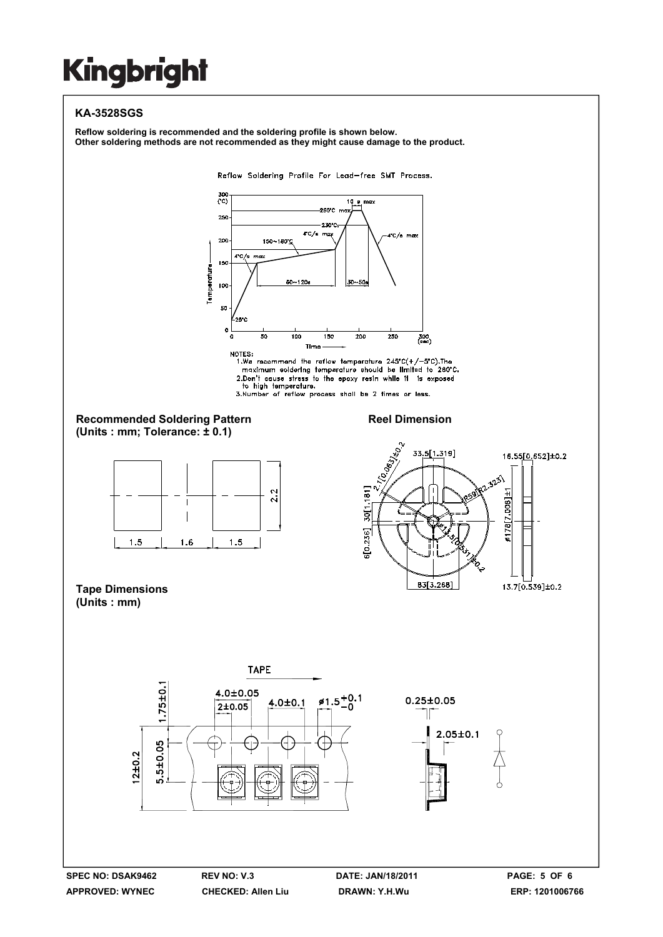### **KA-3528SGS**

**Reflow soldering is recommended and the soldering profile is shown below. Other soldering methods are not recommended as they might cause damage to the product.**